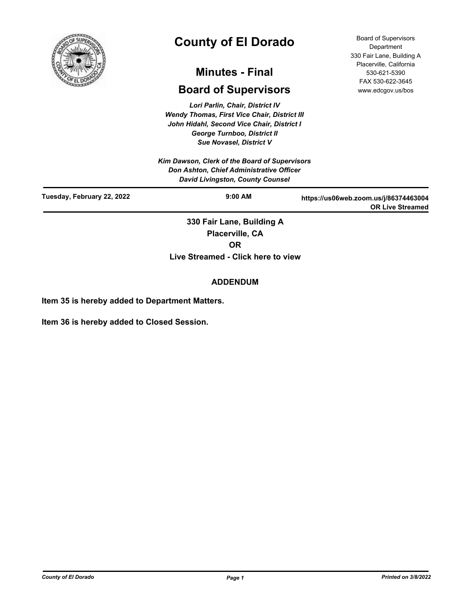

# **County of El Dorado**

## **Minutes - Final**

## **Board of Supervisors**

*Lori Parlin, Chair, District IV Wendy Thomas, First Vice Chair, District III John Hidahl, Second Vice Chair, District I George Turnboo, District II Sue Novasel, District V*

*Kim Dawson, Clerk of the Board of Supervisors Don Ashton, Chief Administrative Officer David Livingston, County Counsel*

Board of Supervisors **Department** 330 Fair Lane, Building A Placerville, California 530-621-5390 FAX 530-622-3645 www.edcgov.us/bos

| David Livingston, County Counsel |                                              |                                                                  |
|----------------------------------|----------------------------------------------|------------------------------------------------------------------|
| Tuesday, February 22, 2022       | $9:00$ AM                                    | https://us06web.zoom.us/j/86374463004<br><b>OR Live Streamed</b> |
|                                  | 330 Fair Lane, Building A<br>Placerville, CA |                                                                  |

**OR**

**Live Streamed - Click here to view**

## **ADDENDUM**

**Item 35 is hereby added to Department Matters.**

**Item 36 is hereby added to Closed Session.**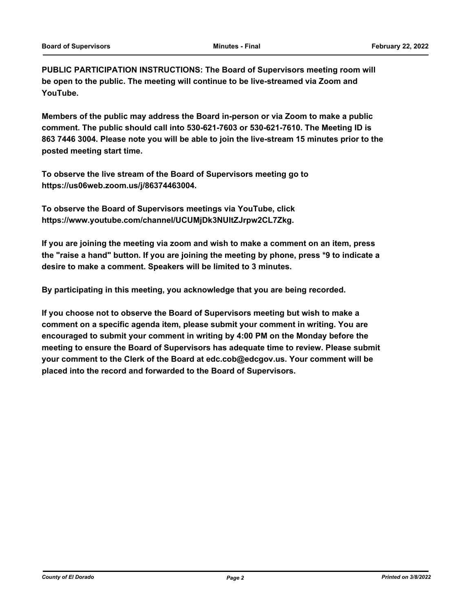**PUBLIC PARTICIPATION INSTRUCTIONS: The Board of Supervisors meeting room will be open to the public. The meeting will continue to be live-streamed via Zoom and YouTube.**

**Members of the public may address the Board in-person or via Zoom to make a public comment. The public should call into 530-621-7603 or 530-621-7610. The Meeting ID is 863 7446 3004. Please note you will be able to join the live-stream 15 minutes prior to the posted meeting start time.**

**To observe the live stream of the Board of Supervisors meeting go to https://us06web.zoom.us/j/86374463004.**

**To observe the Board of Supervisors meetings via YouTube, click https://www.youtube.com/channel/UCUMjDk3NUltZJrpw2CL7Zkg.**

**If you are joining the meeting via zoom and wish to make a comment on an item, press the "raise a hand" button. If you are joining the meeting by phone, press \*9 to indicate a desire to make a comment. Speakers will be limited to 3 minutes.**

**By participating in this meeting, you acknowledge that you are being recorded.**

**If you choose not to observe the Board of Supervisors meeting but wish to make a comment on a specific agenda item, please submit your comment in writing. You are encouraged to submit your comment in writing by 4:00 PM on the Monday before the meeting to ensure the Board of Supervisors has adequate time to review. Please submit your comment to the Clerk of the Board at edc.cob@edcgov.us. Your comment will be placed into the record and forwarded to the Board of Supervisors.**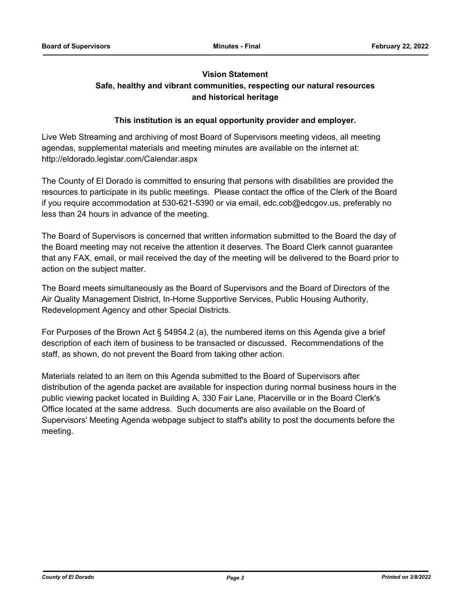## **Vision Statement**

## **Safe, healthy and vibrant communities, respecting our natural resources and historical heritage**

## **This institution is an equal opportunity provider and employer.**

Live Web Streaming and archiving of most Board of Supervisors meeting videos, all meeting agendas, supplemental materials and meeting minutes are available on the internet at: http://eldorado.legistar.com/Calendar.aspx

The County of El Dorado is committed to ensuring that persons with disabilities are provided the resources to participate in its public meetings. Please contact the office of the Clerk of the Board if you require accommodation at 530-621-5390 or via email, edc.cob@edcgov.us, preferably no less than 24 hours in advance of the meeting.

The Board of Supervisors is concerned that written information submitted to the Board the day of the Board meeting may not receive the attention it deserves. The Board Clerk cannot guarantee that any FAX, email, or mail received the day of the meeting will be delivered to the Board prior to action on the subject matter.

The Board meets simultaneously as the Board of Supervisors and the Board of Directors of the Air Quality Management District, In-Home Supportive Services, Public Housing Authority, Redevelopment Agency and other Special Districts.

For Purposes of the Brown Act § 54954.2 (a), the numbered items on this Agenda give a brief description of each item of business to be transacted or discussed. Recommendations of the staff, as shown, do not prevent the Board from taking other action.

Materials related to an item on this Agenda submitted to the Board of Supervisors after distribution of the agenda packet are available for inspection during normal business hours in the public viewing packet located in Building A, 330 Fair Lane, Placerville or in the Board Clerk's Office located at the same address. Such documents are also available on the Board of Supervisors' Meeting Agenda webpage subject to staff's ability to post the documents before the meeting.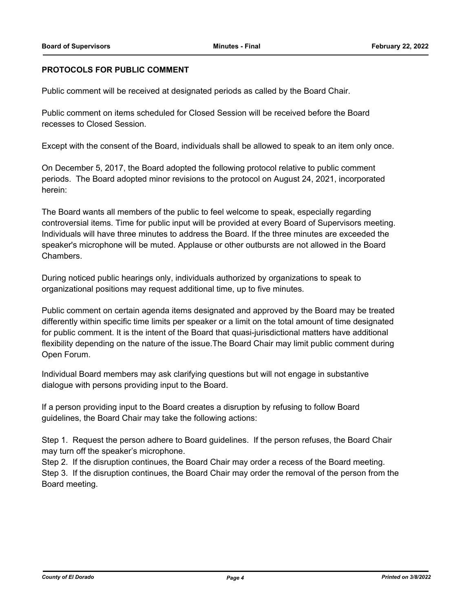## **PROTOCOLS FOR PUBLIC COMMENT**

Public comment will be received at designated periods as called by the Board Chair.

Public comment on items scheduled for Closed Session will be received before the Board recesses to Closed Session.

Except with the consent of the Board, individuals shall be allowed to speak to an item only once.

On December 5, 2017, the Board adopted the following protocol relative to public comment periods. The Board adopted minor revisions to the protocol on August 24, 2021, incorporated herein:

The Board wants all members of the public to feel welcome to speak, especially regarding controversial items. Time for public input will be provided at every Board of Supervisors meeting. Individuals will have three minutes to address the Board. If the three minutes are exceeded the speaker's microphone will be muted. Applause or other outbursts are not allowed in the Board Chambers.

During noticed public hearings only, individuals authorized by organizations to speak to organizational positions may request additional time, up to five minutes.

Public comment on certain agenda items designated and approved by the Board may be treated differently within specific time limits per speaker or a limit on the total amount of time designated for public comment. It is the intent of the Board that quasi-jurisdictional matters have additional flexibility depending on the nature of the issue.The Board Chair may limit public comment during Open Forum.

Individual Board members may ask clarifying questions but will not engage in substantive dialogue with persons providing input to the Board.

If a person providing input to the Board creates a disruption by refusing to follow Board guidelines, the Board Chair may take the following actions:

Step 1. Request the person adhere to Board guidelines. If the person refuses, the Board Chair may turn off the speaker's microphone.

Step 2. If the disruption continues, the Board Chair may order a recess of the Board meeting. Step 3. If the disruption continues, the Board Chair may order the removal of the person from the Board meeting.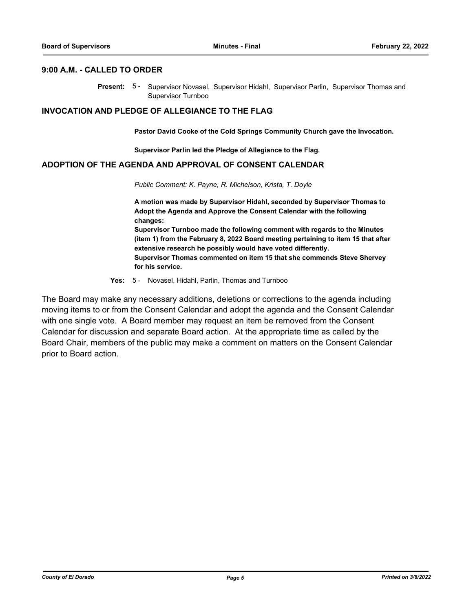#### **9:00 A.M. - CALLED TO ORDER**

Present: 5- Supervisor Novasel, Supervisor Hidahl, Supervisor Parlin, Supervisor Thomas and Supervisor Turnboo

#### **INVOCATION AND PLEDGE OF ALLEGIANCE TO THE FLAG**

**Pastor David Cooke of the Cold Springs Community Church gave the Invocation.**

**Supervisor Parlin led the Pledge of Allegiance to the Flag.**

## **ADOPTION OF THE AGENDA AND APPROVAL OF CONSENT CALENDAR**

*Public Comment: K. Payne, R. Michelson, Krista, T. Doyle*

**A motion was made by Supervisor Hidahl, seconded by Supervisor Thomas to Adopt the Agenda and Approve the Consent Calendar with the following changes: Supervisor Turnboo made the following comment with regards to the Minutes (item 1) from the February 8, 2022 Board meeting pertaining to item 15 that after extensive research he possibly would have voted differently. Supervisor Thomas commented on item 15 that she commends Steve Shervey for his service.**

**Yes:** 5 - Novasel, Hidahl, Parlin, Thomas and Turnboo

The Board may make any necessary additions, deletions or corrections to the agenda including moving items to or from the Consent Calendar and adopt the agenda and the Consent Calendar with one single vote. A Board member may request an item be removed from the Consent Calendar for discussion and separate Board action. At the appropriate time as called by the Board Chair, members of the public may make a comment on matters on the Consent Calendar prior to Board action.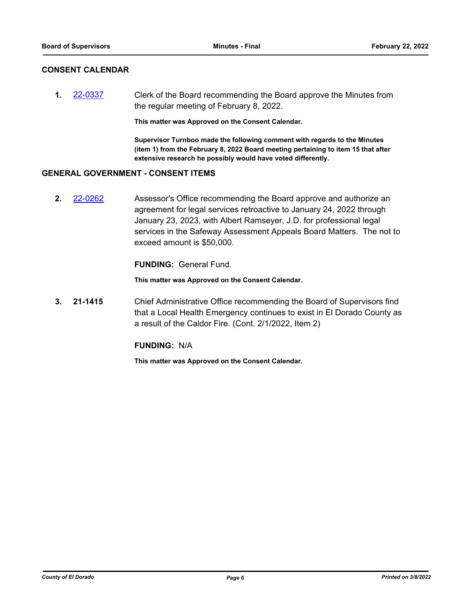## **CONSENT CALENDAR**

**1.** [22-0337](http://eldorado.legistar.com/gateway.aspx?m=l&id=/matter.aspx?key=31238) Clerk of the Board recommending the Board approve the Minutes from the regular meeting of February 8, 2022.

**This matter was Approved on the Consent Calendar.**

**Supervisor Turnboo made the following comment with regards to the Minutes (item 1) from the February 8, 2022 Board meeting pertaining to item 15 that after extensive research he possibly would have voted differently.**

## **GENERAL GOVERNMENT - CONSENT ITEMS**

**2.** [22-0262](http://eldorado.legistar.com/gateway.aspx?m=l&id=/matter.aspx?key=31163) Assessor's Office recommending the Board approve and authorize an agreement for legal services retroactive to January 24, 2022 through January 23, 2023, with Albert Ramseyer, J.D. for professional legal services in the Safeway Assessment Appeals Board Matters. The not to exceed amount is \$50,000.

**FUNDING:** General Fund.

**This matter was Approved on the Consent Calendar.**

**3. 21-1415** Chief Administrative Office recommending the Board of Supervisors find that a Local Health Emergency continues to exist in El Dorado County as a result of the Caldor Fire. (Cont. 2/1/2022, Item 2)

#### **FUNDING:** N/A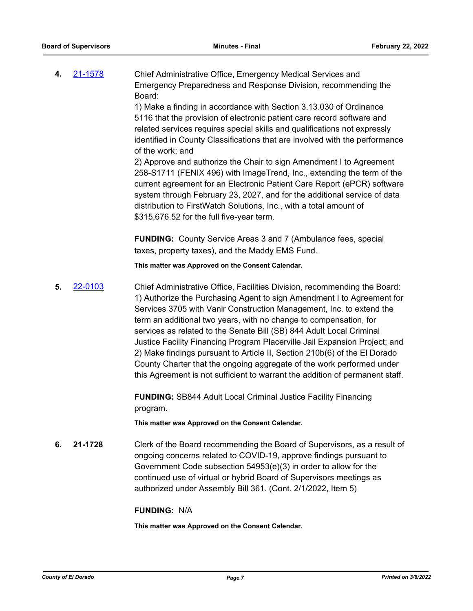**4.** [21-1578](http://eldorado.legistar.com/gateway.aspx?m=l&id=/matter.aspx?key=30473) Chief Administrative Office, Emergency Medical Services and Emergency Preparedness and Response Division, recommending the Board:

> 1) Make a finding in accordance with Section 3.13.030 of Ordinance 5116 that the provision of electronic patient care record software and related services requires special skills and qualifications not expressly identified in County Classifications that are involved with the performance of the work; and

> 2) Approve and authorize the Chair to sign Amendment I to Agreement 258-S1711 (FENIX 496) with ImageTrend, Inc., extending the term of the current agreement for an Electronic Patient Care Report (ePCR) software system through February 23, 2027, and for the additional service of data distribution to FirstWatch Solutions, Inc., with a total amount of \$315,676.52 for the full five-year term.

**FUNDING:** County Service Areas 3 and 7 (Ambulance fees, special taxes, property taxes), and the Maddy EMS Fund.

**This matter was Approved on the Consent Calendar.**

**5.** [22-0103](http://eldorado.legistar.com/gateway.aspx?m=l&id=/matter.aspx?key=31003) Chief Administrative Office, Facilities Division, recommending the Board: 1) Authorize the Purchasing Agent to sign Amendment I to Agreement for Services 3705 with Vanir Construction Management, Inc. to extend the term an additional two years, with no change to compensation, for services as related to the Senate Bill (SB) 844 Adult Local Criminal Justice Facility Financing Program Placerville Jail Expansion Project; and 2) Make findings pursuant to Article II, Section 210b(6) of the El Dorado County Charter that the ongoing aggregate of the work performed under this Agreement is not sufficient to warrant the addition of permanent staff.

> **FUNDING:** SB844 Adult Local Criminal Justice Facility Financing program.

**This matter was Approved on the Consent Calendar.**

**6. 21-1728** Clerk of the Board recommending the Board of Supervisors, as a result of ongoing concerns related to COVID-19, approve findings pursuant to Government Code subsection 54953(e)(3) in order to allow for the continued use of virtual or hybrid Board of Supervisors meetings as authorized under Assembly Bill 361. (Cont. 2/1/2022, Item 5)

#### **FUNDING:** N/A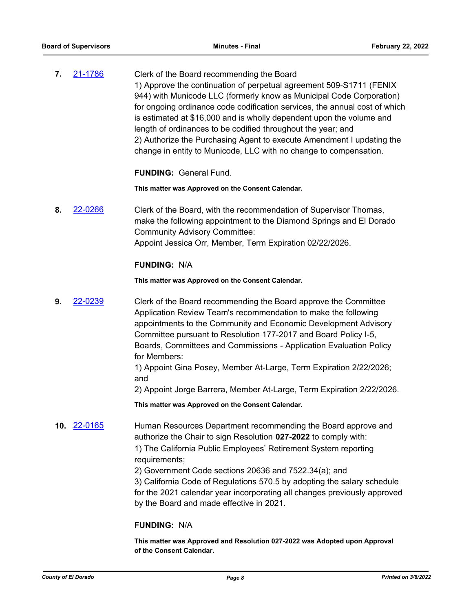**7.** [21-1786](http://eldorado.legistar.com/gateway.aspx?m=l&id=/matter.aspx?key=30682) Clerk of the Board recommending the Board 1) Approve the continuation of perpetual agreement 509-S1711 (FENIX 944) with Municode LLC (formerly know as Municipal Code Corporation) for ongoing ordinance code codification services, the annual cost of which is estimated at \$16,000 and is wholly dependent upon the volume and length of ordinances to be codified throughout the year; and 2) Authorize the Purchasing Agent to execute Amendment I updating the change in entity to Municode, LLC with no change to compensation.

#### **FUNDING:** General Fund.

#### **This matter was Approved on the Consent Calendar.**

**8.** [22-0266](http://eldorado.legistar.com/gateway.aspx?m=l&id=/matter.aspx?key=31167) Clerk of the Board, with the recommendation of Supervisor Thomas, make the following appointment to the Diamond Springs and El Dorado Community Advisory Committee: Appoint Jessica Orr, Member, Term Expiration 02/22/2026.

## **FUNDING:** N/A

**This matter was Approved on the Consent Calendar.**

**9.** [22-0239](http://eldorado.legistar.com/gateway.aspx?m=l&id=/matter.aspx?key=31140) Clerk of the Board recommending the Board approve the Committee Application Review Team's recommendation to make the following appointments to the Community and Economic Development Advisory Committee pursuant to Resolution 177-2017 and Board Policy I-5, Boards, Committees and Commissions - Application Evaluation Policy for Members:

> 1) Appoint Gina Posey, Member At-Large, Term Expiration 2/22/2026; and

2) Appoint Jorge Barrera, Member At-Large, Term Expiration 2/22/2026.

**This matter was Approved on the Consent Calendar.**

**10.** [22-0165](http://eldorado.legistar.com/gateway.aspx?m=l&id=/matter.aspx?key=31066) Human Resources Department recommending the Board approve and authorize the Chair to sign Resolution **027-2022** to comply with: 1) The California Public Employees' Retirement System reporting requirements;

2) Government Code sections 20636 and 7522.34(a); and

3) California Code of Regulations 570.5 by adopting the salary schedule for the 2021 calendar year incorporating all changes previously approved by the Board and made effective in 2021.

#### **FUNDING:** N/A

**This matter was Approved and Resolution 027-2022 was Adopted upon Approval of the Consent Calendar.**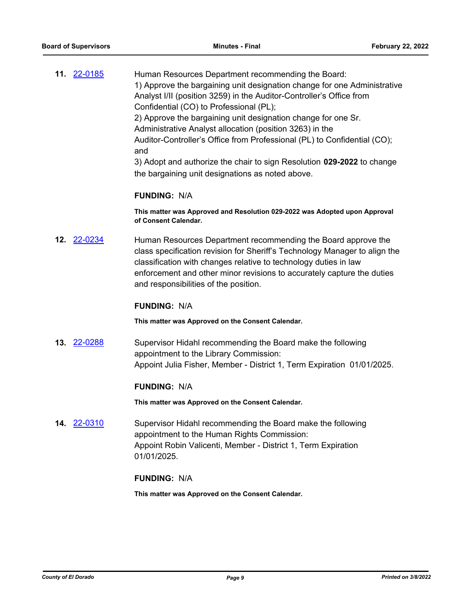**11.** [22-0185](http://eldorado.legistar.com/gateway.aspx?m=l&id=/matter.aspx?key=31086) Human Resources Department recommending the Board: 1) Approve the bargaining unit designation change for one Administrative Analyst I/II (position 3259) in the Auditor-Controller's Office from Confidential (CO) to Professional (PL); 2) Approve the bargaining unit designation change for one Sr. Administrative Analyst allocation (position 3263) in the Auditor-Controller's Office from Professional (PL) to Confidential (CO); and 3) Adopt and authorize the chair to sign Resolution **029-2022** to change the bargaining unit designations as noted above.

#### **FUNDING:** N/A

**This matter was Approved and Resolution 029-2022 was Adopted upon Approval of Consent Calendar.**

**12.** [22-0234](http://eldorado.legistar.com/gateway.aspx?m=l&id=/matter.aspx?key=31135) Human Resources Department recommending the Board approve the class specification revision for Sheriff's Technology Manager to align the classification with changes relative to technology duties in law enforcement and other minor revisions to accurately capture the duties and responsibilities of the position.

#### **FUNDING:** N/A

**This matter was Approved on the Consent Calendar.**

**13.** [22-0288](http://eldorado.legistar.com/gateway.aspx?m=l&id=/matter.aspx?key=31189) Supervisor Hidahl recommending the Board make the following appointment to the Library Commission: Appoint Julia Fisher, Member - District 1, Term Expiration 01/01/2025.

#### **FUNDING:** N/A

**This matter was Approved on the Consent Calendar.**

**14.** [22-0310](http://eldorado.legistar.com/gateway.aspx?m=l&id=/matter.aspx?key=31211) Supervisor Hidahl recommending the Board make the following appointment to the Human Rights Commission: Appoint Robin Valicenti, Member - District 1, Term Expiration 01/01/2025.

#### **FUNDING:** N/A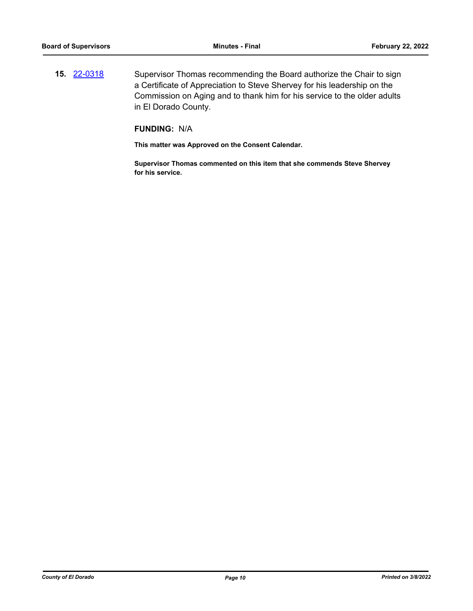**15.** [22-0318](http://eldorado.legistar.com/gateway.aspx?m=l&id=/matter.aspx?key=31219) Supervisor Thomas recommending the Board authorize the Chair to sign a Certificate of Appreciation to Steve Shervey for his leadership on the Commission on Aging and to thank him for his service to the older adults in El Dorado County.

## **FUNDING:** N/A

**This matter was Approved on the Consent Calendar.**

**Supervisor Thomas commented on this item that she commends Steve Shervey for his service.**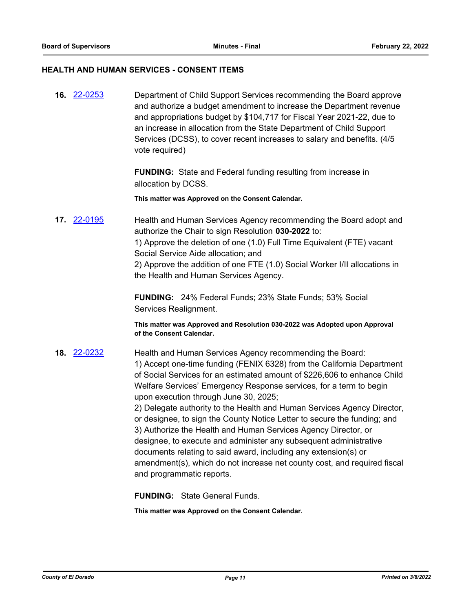#### **HEALTH AND HUMAN SERVICES - CONSENT ITEMS**

**16.** [22-0253](http://eldorado.legistar.com/gateway.aspx?m=l&id=/matter.aspx?key=31154) Department of Child Support Services recommending the Board approve and authorize a budget amendment to increase the Department revenue and appropriations budget by \$104,717 for Fiscal Year 2021-22, due to an increase in allocation from the State Department of Child Support Services (DCSS), to cover recent increases to salary and benefits. (4/5 vote required)

> **FUNDING:** State and Federal funding resulting from increase in allocation by DCSS.

**This matter was Approved on the Consent Calendar.**

**17.** [22-0195](http://eldorado.legistar.com/gateway.aspx?m=l&id=/matter.aspx?key=31096) Health and Human Services Agency recommending the Board adopt and authorize the Chair to sign Resolution **030-2022** to: 1) Approve the deletion of one (1.0) Full Time Equivalent (FTE) vacant Social Service Aide allocation; and 2) Approve the addition of one FTE (1.0) Social Worker I/II allocations in

the Health and Human Services Agency.

**FUNDING:** 24% Federal Funds; 23% State Funds; 53% Social Services Realignment.

**This matter was Approved and Resolution 030-2022 was Adopted upon Approval of the Consent Calendar.**

**18.** [22-0232](http://eldorado.legistar.com/gateway.aspx?m=l&id=/matter.aspx?key=31133) Health and Human Services Agency recommending the Board: 1) Accept one-time funding (FENIX 6328) from the California Department of Social Services for an estimated amount of \$226,606 to enhance Child Welfare Services' Emergency Response services, for a term to begin upon execution through June 30, 2025; 2) Delegate authority to the Health and Human Services Agency Director, or designee, to sign the County Notice Letter to secure the funding; and 3) Authorize the Health and Human Services Agency Director, or designee, to execute and administer any subsequent administrative documents relating to said award, including any extension(s) or

> amendment(s), which do not increase net county cost, and required fiscal and programmatic reports.

**FUNDING:** State General Funds.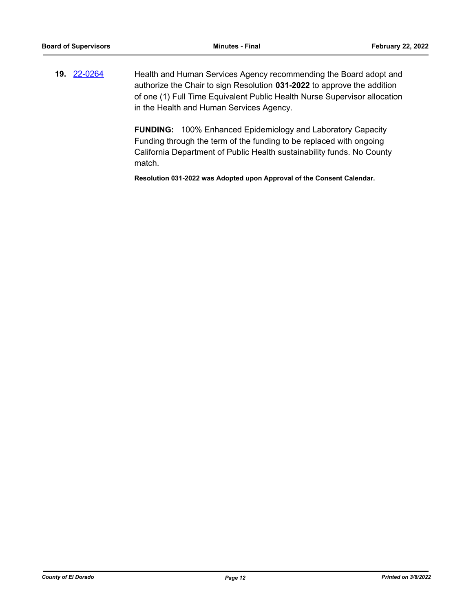**19.** [22-0264](http://eldorado.legistar.com/gateway.aspx?m=l&id=/matter.aspx?key=31165) Health and Human Services Agency recommending the Board adopt and authorize the Chair to sign Resolution **031-2022** to approve the addition of one (1) Full Time Equivalent Public Health Nurse Supervisor allocation in the Health and Human Services Agency.

> **FUNDING:** 100% Enhanced Epidemiology and Laboratory Capacity Funding through the term of the funding to be replaced with ongoing California Department of Public Health sustainability funds. No County match.

**Resolution 031-2022 was Adopted upon Approval of the Consent Calendar.**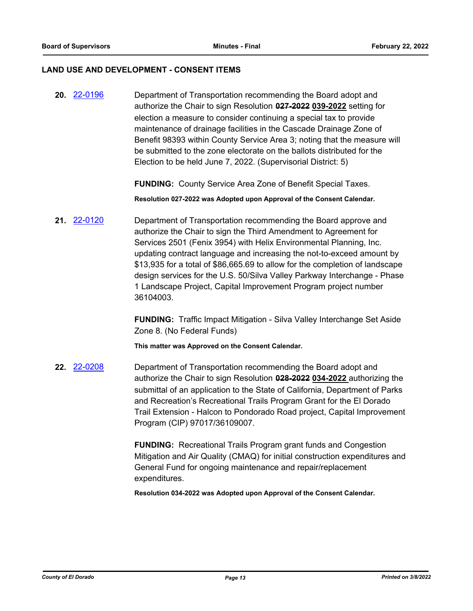#### **LAND USE AND DEVELOPMENT - CONSENT ITEMS**

**20.** [22-0196](http://eldorado.legistar.com/gateway.aspx?m=l&id=/matter.aspx?key=31097) Department of Transportation recommending the Board adopt and authorize the Chair to sign Resolution **027-2022 039-2022** setting for election a measure to consider continuing a special tax to provide maintenance of drainage facilities in the Cascade Drainage Zone of Benefit 98393 within County Service Area 3; noting that the measure will be submitted to the zone electorate on the ballots distributed for the Election to be held June 7, 2022. (Supervisorial District: 5)

**FUNDING:** County Service Area Zone of Benefit Special Taxes.

**Resolution 027-2022 was Adopted upon Approval of the Consent Calendar.**

**21.** [22-0120](http://eldorado.legistar.com/gateway.aspx?m=l&id=/matter.aspx?key=31021) Department of Transportation recommending the Board approve and authorize the Chair to sign the Third Amendment to Agreement for Services 2501 (Fenix 3954) with Helix Environmental Planning, Inc. updating contract language and increasing the not-to-exceed amount by \$13,935 for a total of \$86,665.69 to allow for the completion of landscape design services for the U.S. 50/Silva Valley Parkway Interchange - Phase 1 Landscape Project, Capital Improvement Program project number 36104003.

> **FUNDING:** Traffic Impact Mitigation - Silva Valley Interchange Set Aside Zone 8. (No Federal Funds)

**This matter was Approved on the Consent Calendar.**

**22.** [22-0208](http://eldorado.legistar.com/gateway.aspx?m=l&id=/matter.aspx?key=31109) Department of Transportation recommending the Board adopt and authorize the Chair to sign Resolution **028-2022 034-2022** authorizing the submittal of an application to the State of California, Department of Parks and Recreation's Recreational Trails Program Grant for the El Dorado Trail Extension - Halcon to Pondorado Road project, Capital Improvement Program (CIP) 97017/36109007.

> **FUNDING:** Recreational Trails Program grant funds and Congestion Mitigation and Air Quality (CMAQ) for initial construction expenditures and General Fund for ongoing maintenance and repair/replacement expenditures.

**Resolution 034-2022 was Adopted upon Approval of the Consent Calendar.**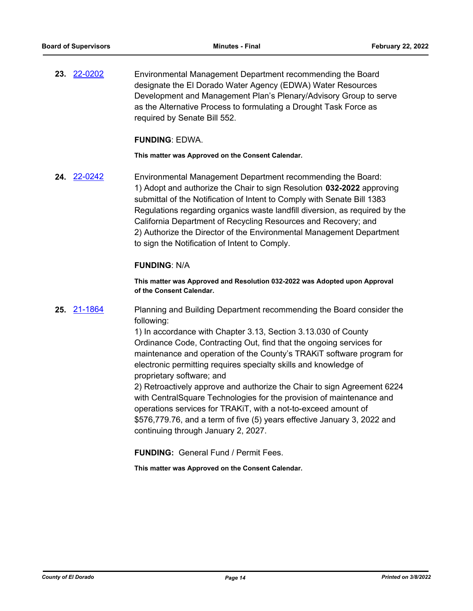**23.** [22-0202](http://eldorado.legistar.com/gateway.aspx?m=l&id=/matter.aspx?key=31103) Environmental Management Department recommending the Board designate the El Dorado Water Agency (EDWA) Water Resources Development and Management Plan's Plenary/Advisory Group to serve as the Alternative Process to formulating a Drought Task Force as required by Senate Bill 552.

### **FUNDING**: EDWA.

**This matter was Approved on the Consent Calendar.**

**24.** [22-0242](http://eldorado.legistar.com/gateway.aspx?m=l&id=/matter.aspx?key=31143) Environmental Management Department recommending the Board: 1) Adopt and authorize the Chair to sign Resolution **032-2022** approving submittal of the Notification of Intent to Comply with Senate Bill 1383 Regulations regarding organics waste landfill diversion, as required by the California Department of Recycling Resources and Recovery; and 2) Authorize the Director of the Environmental Management Department to sign the Notification of Intent to Comply.

## **FUNDING**: N/A

**This matter was Approved and Resolution 032-2022 was Adopted upon Approval of the Consent Calendar.**

**25.** [21-1864](http://eldorado.legistar.com/gateway.aspx?m=l&id=/matter.aspx?key=30760) Planning and Building Department recommending the Board consider the following:

> 1) In accordance with Chapter 3.13, Section 3.13.030 of County Ordinance Code, Contracting Out, find that the ongoing services for maintenance and operation of the County's TRAKiT software program for electronic permitting requires specialty skills and knowledge of proprietary software; and

> 2) Retroactively approve and authorize the Chair to sign Agreement 6224 with CentralSquare Technologies for the provision of maintenance and operations services for TRAKiT, with a not-to-exceed amount of \$576,779.76, and a term of five (5) years effective January 3, 2022 and continuing through January 2, 2027.

**FUNDING:** General Fund / Permit Fees.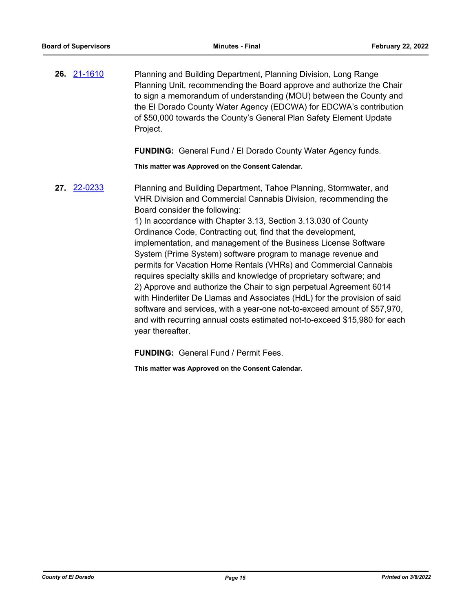**26.** [21-1610](http://eldorado.legistar.com/gateway.aspx?m=l&id=/matter.aspx?key=30505) Planning and Building Department, Planning Division, Long Range Planning Unit, recommending the Board approve and authorize the Chair to sign a memorandum of understanding (MOU) between the County and the El Dorado County Water Agency (EDCWA) for EDCWA's contribution of \$50,000 towards the County's General Plan Safety Element Update Project.

**FUNDING:** General Fund / El Dorado County Water Agency funds.

**This matter was Approved on the Consent Calendar.**

**27.** [22-0233](http://eldorado.legistar.com/gateway.aspx?m=l&id=/matter.aspx?key=31134) Planning and Building Department, Tahoe Planning, Stormwater, and VHR Division and Commercial Cannabis Division, recommending the Board consider the following: 1) In accordance with Chapter 3.13, Section 3.13.030 of County

Ordinance Code, Contracting out, find that the development, implementation, and management of the Business License Software System (Prime System) software program to manage revenue and permits for Vacation Home Rentals (VHRs) and Commercial Cannabis requires specialty skills and knowledge of proprietary software; and 2) Approve and authorize the Chair to sign perpetual Agreement 6014 with Hinderliter De Llamas and Associates (HdL) for the provision of said software and services, with a year-one not-to-exceed amount of \$57,970, and with recurring annual costs estimated not-to-exceed \$15,980 for each year thereafter.

**FUNDING:** General Fund / Permit Fees.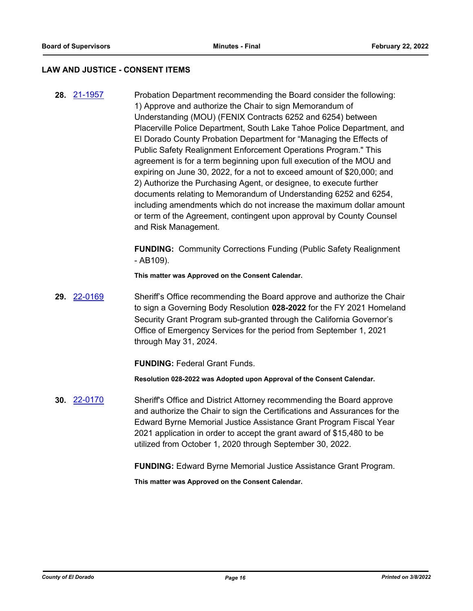#### **LAW AND JUSTICE - CONSENT ITEMS**

**28.** [21-1957](http://eldorado.legistar.com/gateway.aspx?m=l&id=/matter.aspx?key=30853) Probation Department recommending the Board consider the following: 1) Approve and authorize the Chair to sign Memorandum of Understanding (MOU) (FENIX Contracts 6252 and 6254) between Placerville Police Department, South Lake Tahoe Police Department, and El Dorado County Probation Department for "Managing the Effects of Public Safety Realignment Enforcement Operations Program." This agreement is for a term beginning upon full execution of the MOU and expiring on June 30, 2022, for a not to exceed amount of \$20,000; and 2) Authorize the Purchasing Agent, or designee, to execute further documents relating to Memorandum of Understanding 6252 and 6254, including amendments which do not increase the maximum dollar amount or term of the Agreement, contingent upon approval by County Counsel and Risk Management.

> **FUNDING:** Community Corrections Funding (Public Safety Realignment  $-$  AB109).

**This matter was Approved on the Consent Calendar.**

**29.** [22-0169](http://eldorado.legistar.com/gateway.aspx?m=l&id=/matter.aspx?key=31070) Sheriff's Office recommending the Board approve and authorize the Chair to sign a Governing Body Resolution **028-2022** for the FY 2021 Homeland Security Grant Program sub-granted through the California Governor's Office of Emergency Services for the period from September 1, 2021 through May 31, 2024.

**FUNDING:** Federal Grant Funds.

**Resolution 028-2022 was Adopted upon Approval of the Consent Calendar.**

**30.** [22-0170](http://eldorado.legistar.com/gateway.aspx?m=l&id=/matter.aspx?key=31071) Sheriff's Office and District Attorney recommending the Board approve and authorize the Chair to sign the Certifications and Assurances for the Edward Byrne Memorial Justice Assistance Grant Program Fiscal Year 2021 application in order to accept the grant award of \$15,480 to be utilized from October 1, 2020 through September 30, 2022.

**FUNDING:** Edward Byrne Memorial Justice Assistance Grant Program.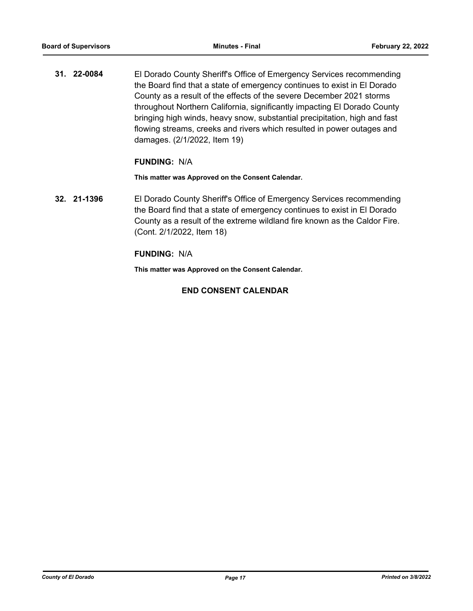**31. 22-0084** El Dorado County Sheriff's Office of Emergency Services recommending the Board find that a state of emergency continues to exist in El Dorado County as a result of the effects of the severe December 2021 storms throughout Northern California, significantly impacting El Dorado County bringing high winds, heavy snow, substantial precipitation, high and fast flowing streams, creeks and rivers which resulted in power outages and damages. (2/1/2022, Item 19)

## **FUNDING:** N/A

**This matter was Approved on the Consent Calendar.**

**32. 21-1396** El Dorado County Sheriff's Office of Emergency Services recommending the Board find that a state of emergency continues to exist in El Dorado County as a result of the extreme wildland fire known as the Caldor Fire. (Cont. 2/1/2022, Item 18)

## **FUNDING:** N/A

**This matter was Approved on the Consent Calendar.**

## **END CONSENT CALENDAR**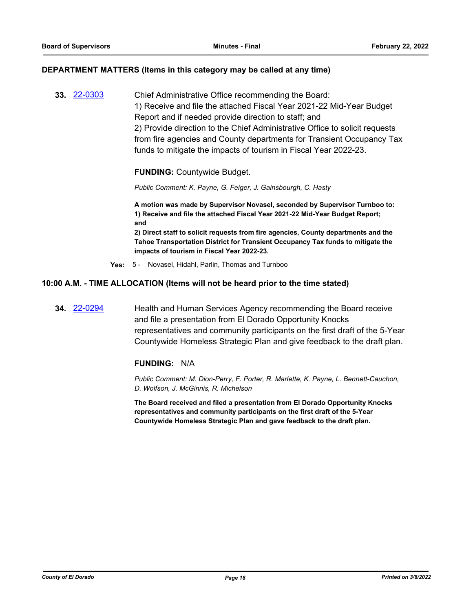#### **DEPARTMENT MATTERS (Items in this category may be called at any time)**

**33.** [22-0303](http://eldorado.legistar.com/gateway.aspx?m=l&id=/matter.aspx?key=31204) Chief Administrative Office recommending the Board: 1) Receive and file the attached Fiscal Year 2021-22 Mid-Year Budget Report and if needed provide direction to staff; and 2) Provide direction to the Chief Administrative Office to solicit requests from fire agencies and County departments for Transient Occupancy Tax funds to mitigate the impacts of tourism in Fiscal Year 2022-23.

**FUNDING:** Countywide Budget.

*Public Comment: K. Payne, G. Feiger, J. Gainsbourgh, C. Hasty*

**A motion was made by Supervisor Novasel, seconded by Supervisor Turnboo to: 1) Receive and file the attached Fiscal Year 2021-22 Mid-Year Budget Report; and**

**2) Direct staff to solicit requests from fire agencies, County departments and the Tahoe Transportation District for Transient Occupancy Tax funds to mitigate the impacts of tourism in Fiscal Year 2022-23.**

**Yes:** 5 - Novasel, Hidahl, Parlin, Thomas and Turnboo

#### **10:00 A.M. - TIME ALLOCATION (Items will not be heard prior to the time stated)**

**34.** [22-0294](http://eldorado.legistar.com/gateway.aspx?m=l&id=/matter.aspx?key=31195) Health and Human Services Agency recommending the Board receive and file a presentation from El Dorado Opportunity Knocks representatives and community participants on the first draft of the 5-Year Countywide Homeless Strategic Plan and give feedback to the draft plan.

#### **FUNDING:** N/A

*Public Comment: M. Dion-Perry, F. Porter, R. Marlette, K. Payne, L. Bennett-Cauchon, D. Wolfson, J. McGinnis, R. Michelson*

**The Board received and filed a presentation from El Dorado Opportunity Knocks representatives and community participants on the first draft of the 5-Year Countywide Homeless Strategic Plan and gave feedback to the draft plan.**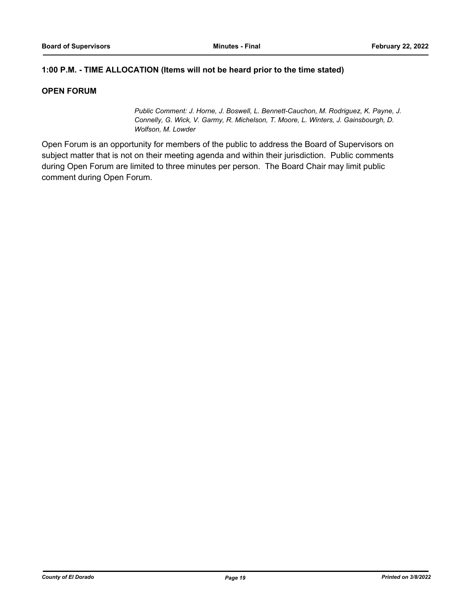## **1:00 P.M. - TIME ALLOCATION (Items will not be heard prior to the time stated)**

## **OPEN FORUM**

*Public Comment: J. Horne, J. Boswell, L. Bennett-Cauchon, M. Rodriguez, K. Payne, J. Connelly, G. Wick, V. Garmy, R. Michelson, T. Moore, L. Winters, J. Gainsbourgh, D. Wolfson, M. Lowder*

Open Forum is an opportunity for members of the public to address the Board of Supervisors on subject matter that is not on their meeting agenda and within their jurisdiction. Public comments during Open Forum are limited to three minutes per person. The Board Chair may limit public comment during Open Forum.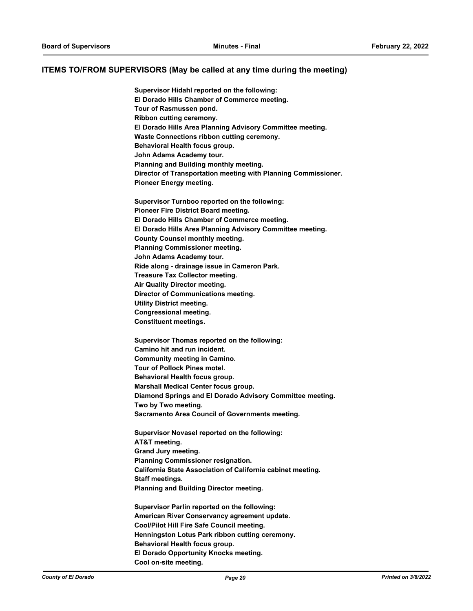#### **ITEMS TO/FROM SUPERVISORS (May be called at any time during the meeting)**

**Supervisor Hidahl reported on the following: El Dorado Hills Chamber of Commerce meeting. Tour of Rasmussen pond. Ribbon cutting ceremony. El Dorado Hills Area Planning Advisory Committee meeting. Waste Connections ribbon cutting ceremony. Behavioral Health focus group. John Adams Academy tour. Planning and Building monthly meeting. Director of Transportation meeting with Planning Commissioner. Pioneer Energy meeting.**

**Supervisor Turnboo reported on the following: Pioneer Fire District Board meeting. El Dorado Hills Chamber of Commerce meeting. El Dorado Hills Area Planning Advisory Committee meeting. County Counsel monthly meeting. Planning Commissioner meeting. John Adams Academy tour. Ride along - drainage issue in Cameron Park. Treasure Tax Collector meeting. Air Quality Director meeting. Director of Communications meeting. Utility District meeting. Congressional meeting. Constituent meetings.**

**Supervisor Thomas reported on the following: Camino hit and run incident. Community meeting in Camino. Tour of Pollock Pines motel. Behavioral Health focus group. Marshall Medical Center focus group. Diamond Springs and El Dorado Advisory Committee meeting. Two by Two meeting. Sacramento Area Council of Governments meeting.**

**Supervisor Novasel reported on the following: AT&T meeting. Grand Jury meeting. Planning Commissioner resignation. California State Association of California cabinet meeting. Staff meetings. Planning and Building Director meeting.**

**Supervisor Parlin reported on the following: American River Conservancy agreement update. Cool/Pilot Hill Fire Safe Council meeting. Henningston Lotus Park ribbon cutting ceremony. Behavioral Health focus group. El Dorado Opportunity Knocks meeting. Cool on-site meeting.**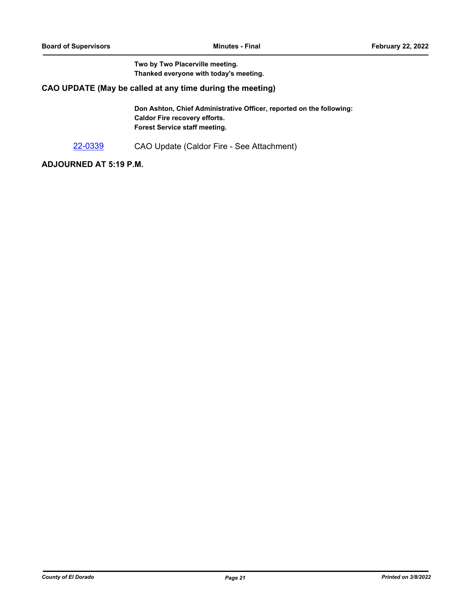**Two by Two Placerville meeting. Thanked everyone with today's meeting.**

## **CAO UPDATE (May be called at any time during the meeting)**

**Don Ashton, Chief Administrative Officer, reported on the following: Caldor Fire recovery efforts. Forest Service staff meeting.**

[22-0339](http://eldorado.legistar.com/gateway.aspx?m=l&id=/matter.aspx?key=31240) CAO Update (Caldor Fire - See Attachment)

## **ADJOURNED AT 5:19 P.M.**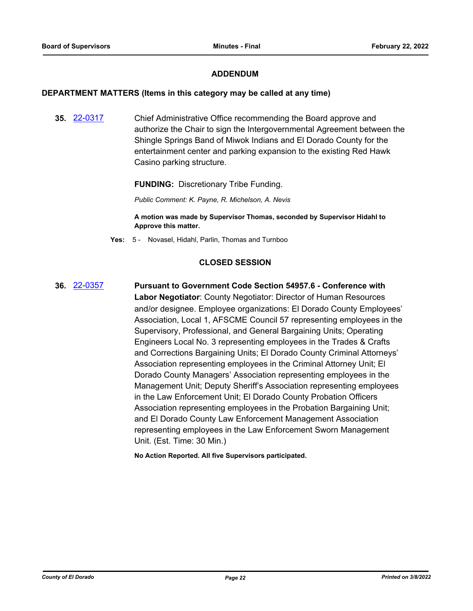## **ADDENDUM**

#### **DEPARTMENT MATTERS (Items in this category may be called at any time)**

**35.** [22-0317](http://eldorado.legistar.com/gateway.aspx?m=l&id=/matter.aspx?key=31218) Chief Administrative Office recommending the Board approve and authorize the Chair to sign the Intergovernmental Agreement between the Shingle Springs Band of Miwok Indians and El Dorado County for the entertainment center and parking expansion to the existing Red Hawk Casino parking structure.

**FUNDING:** Discretionary Tribe Funding.

*Public Comment: K. Payne, R. Michelson, A. Nevis*

**A motion was made by Supervisor Thomas, seconded by Supervisor Hidahl to Approve this matter.**

**Yes:** 5 - Novasel, Hidahl, Parlin, Thomas and Turnboo

## **CLOSED SESSION**

**36.** [22-0357](http://eldorado.legistar.com/gateway.aspx?m=l&id=/matter.aspx?key=31258) **Pursuant to Government Code Section 54957.6 - Conference with Labor Negotiator**: County Negotiator: Director of Human Resources and/or designee. Employee organizations: El Dorado County Employees' Association, Local 1, AFSCME Council 57 representing employees in the Supervisory, Professional, and General Bargaining Units; Operating Engineers Local No. 3 representing employees in the Trades & Crafts and Corrections Bargaining Units; El Dorado County Criminal Attorneys' Association representing employees in the Criminal Attorney Unit; El Dorado County Managers' Association representing employees in the Management Unit; Deputy Sheriff's Association representing employees in the Law Enforcement Unit; El Dorado County Probation Officers Association representing employees in the Probation Bargaining Unit; and El Dorado County Law Enforcement Management Association representing employees in the Law Enforcement Sworn Management Unit. (Est. Time: 30 Min.)

**No Action Reported. All five Supervisors participated.**